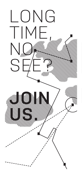